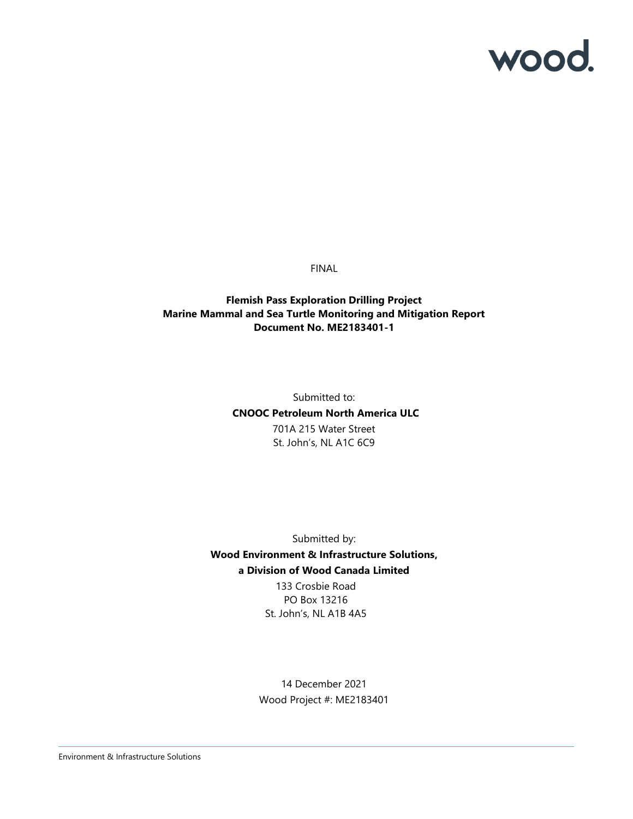# wood.

FINAL

#### **Flemish Pass Exploration Drilling Project Marine Mammal and Sea Turtle Monitoring and Mitigation Report Document No. ME2183401-1**

Submitted to:  **CNOOC Petroleum North America ULC** 701A 215 Water Street St. John's, NL A1C 6C9

Submitted by: **Wood Environment & Infrastructure Solutions, a Division of Wood Canada Limited** 133 Crosbie Road

> PO Box 13216 St. John's, NL A1B 4A5

14 December 2021 Wood Project #: ME2183401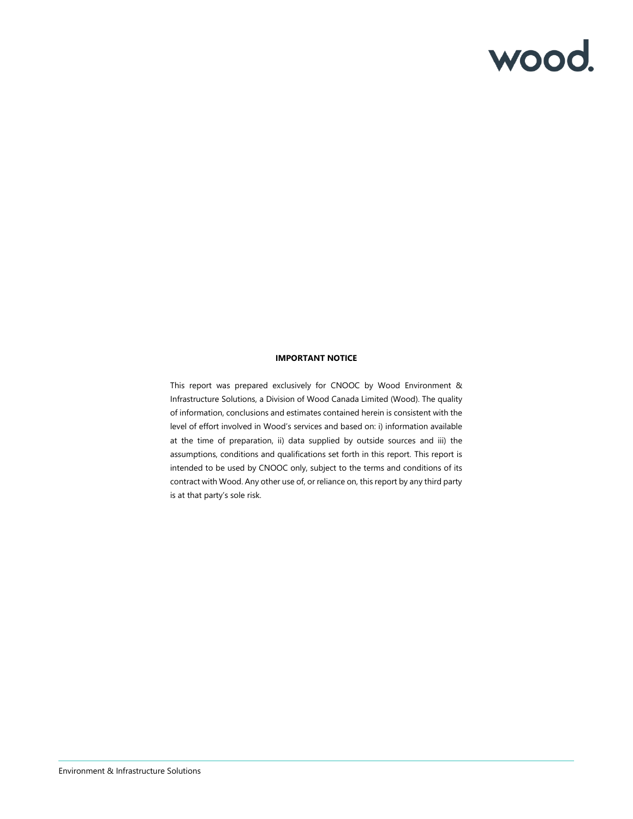# wood.

#### **IMPORTANT NOTICE**

This report was prepared exclusively for CNOOC by Wood Environment & Infrastructure Solutions, a Division of Wood Canada Limited (Wood). The quality of information, conclusions and estimates contained herein is consistent with the level of effort involved in Wood's services and based on: i) information available at the time of preparation, ii) data supplied by outside sources and iii) the assumptions, conditions and qualifications set forth in this report. This report is intended to be used by CNOOC only, subject to the terms and conditions of its contract with Wood. Any other use of, or reliance on, this report by any third party is at that party's sole risk.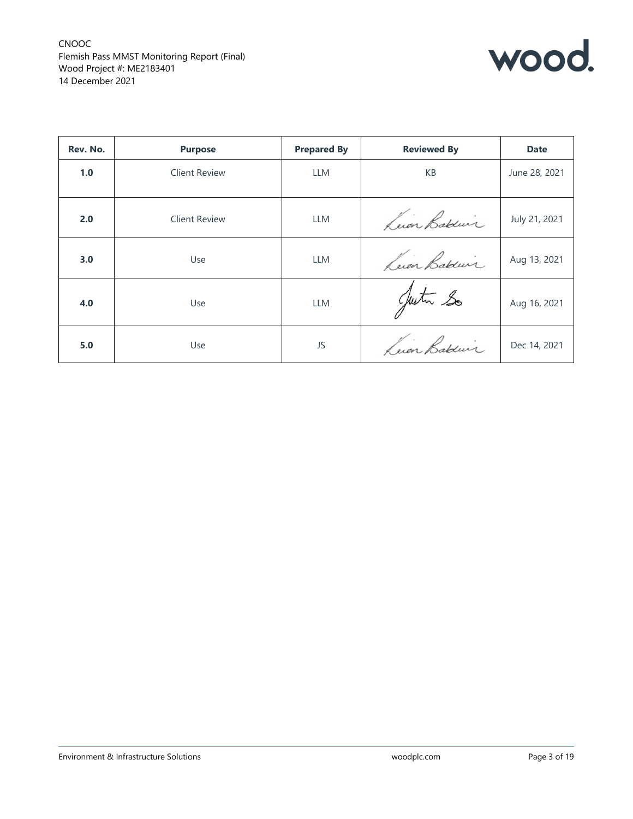

| Rev. No. | <b>Purpose</b>       | <b>Prepared By</b> | <b>Reviewed By</b> | <b>Date</b>   |
|----------|----------------------|--------------------|--------------------|---------------|
| 1.0      | <b>Client Review</b> | <b>LLM</b>         | KB                 | June 28, 2021 |
| 2.0      | <b>Client Review</b> | <b>LLM</b>         | Luar Bablier       | July 21, 2021 |
| 3.0      | Use                  | <b>LLM</b>         | Luin Bablier       | Aug 13, 2021  |
| 4.0      | Use                  | <b>LLM</b>         | Justin So          | Aug 16, 2021  |
| 5.0      | Use                  | JS                 | Luin Bablier.      | Dec 14, 2021  |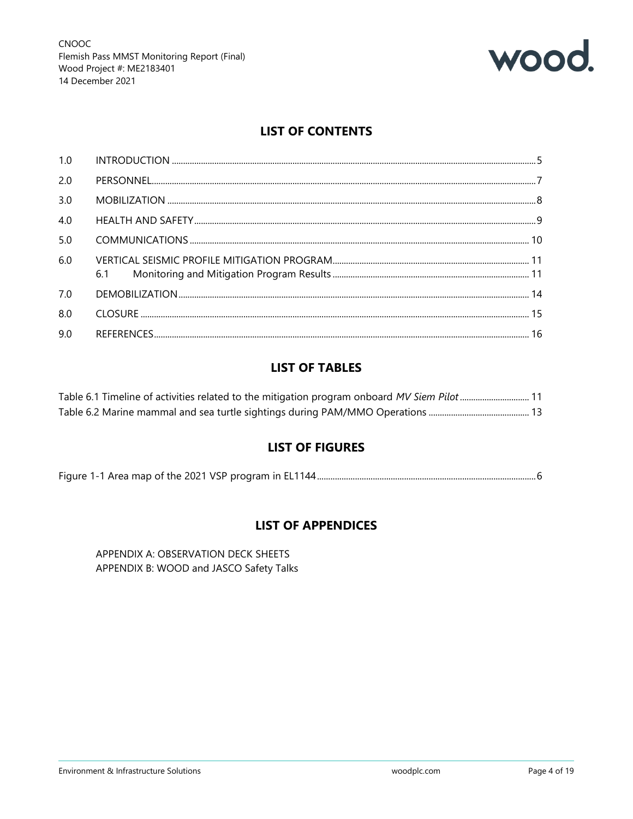

## **LIST OF CONTENTS**

| 1.0 |  |
|-----|--|
| 2.0 |  |
| 3.0 |  |
| 4.0 |  |
| 5.0 |  |
| 6.0 |  |
| 7.0 |  |
| 8.0 |  |
| 9.0 |  |

## **LIST OF TABLES**

| Table 6.1 Timeline of activities related to the mitigation program onboard MV Siem Pilot 11 |  |
|---------------------------------------------------------------------------------------------|--|
|                                                                                             |  |

## **LIST OF FIGURES**

## **LIST OF APPENDICES**

APPENDIX A: OBSERVATION DECK SHEETS APPENDIX B: WOOD and JASCO Safety Talks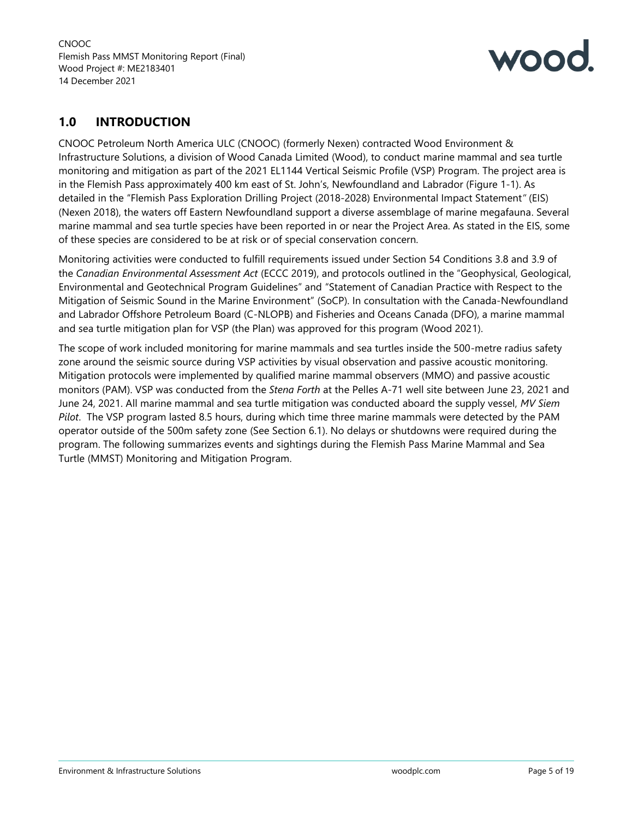

## **1.0 INTRODUCTION**

CNOOC Petroleum North America ULC (CNOOC) (formerly Nexen) contracted Wood Environment & Infrastructure Solutions, a division of Wood Canada Limited (Wood), to conduct marine mammal and sea turtle monitoring and mitigation as part of the 2021 EL1144 Vertical Seismic Profile (VSP) Program. The project area is in the Flemish Pass approximately 400 km east of St. John's, Newfoundland and Labrador (Figure 1-1). As detailed in the "Flemish Pass Exploration Drilling Project (2018-2028) Environmental Impact Statement*"* (EIS) (Nexen 2018), the waters off Eastern Newfoundland support a diverse assemblage of marine megafauna. Several marine mammal and sea turtle species have been reported in or near the Project Area. As stated in the EIS, some of these species are considered to be at risk or of special conservation concern.

Monitoring activities were conducted to fulfill requirements issued under Section 54 Conditions 3.8 and 3.9 of the *Canadian Environmental Assessment Act* (ECCC 2019), and protocols outlined in the "Geophysical, Geological, Environmental and Geotechnical Program Guidelines" and "Statement of Canadian Practice with Respect to the Mitigation of Seismic Sound in the Marine Environment" (SoCP). In consultation with the Canada-Newfoundland and Labrador Offshore Petroleum Board (C-NLOPB) and Fisheries and Oceans Canada (DFO), a marine mammal and sea turtle mitigation plan for VSP (the Plan) was approved for this program (Wood 2021).

The scope of work included monitoring for marine mammals and sea turtles inside the 500-metre radius safety zone around the seismic source during VSP activities by visual observation and passive acoustic monitoring. Mitigation protocols were implemented by qualified marine mammal observers (MMO) and passive acoustic monitors (PAM). VSP was conducted from the *Stena Forth* at the Pelles A-71 well site between June 23, 2021 and June 24, 2021. All marine mammal and sea turtle mitigation was conducted aboard the supply vessel, *MV Siem Pilot*. The VSP program lasted 8.5 hours, during which time three marine mammals were detected by the PAM operator outside of the 500m safety zone (See Section 6.1). No delays or shutdowns were required during the program. The following summarizes events and sightings during the Flemish Pass Marine Mammal and Sea Turtle (MMST) Monitoring and Mitigation Program.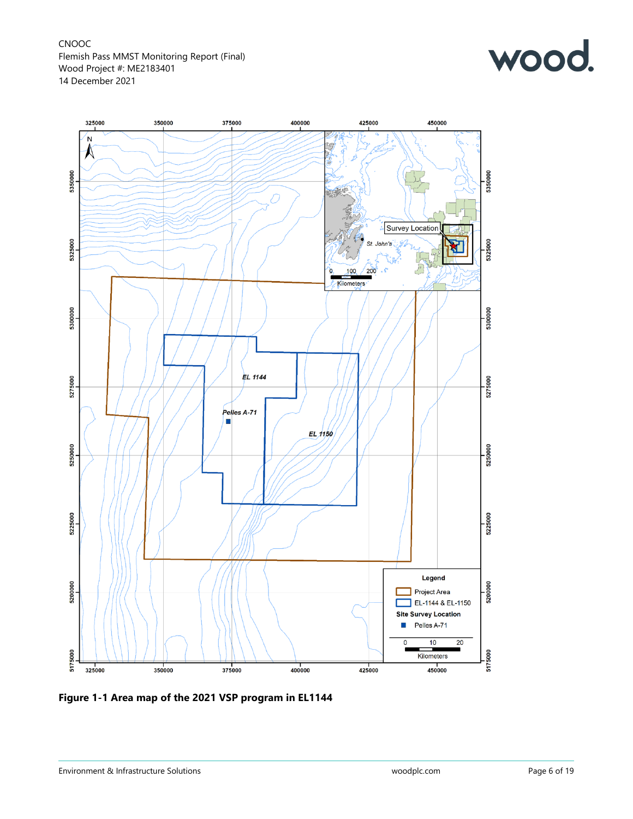



**Figure 1-1 Area map of the 2021 VSP program in EL1144**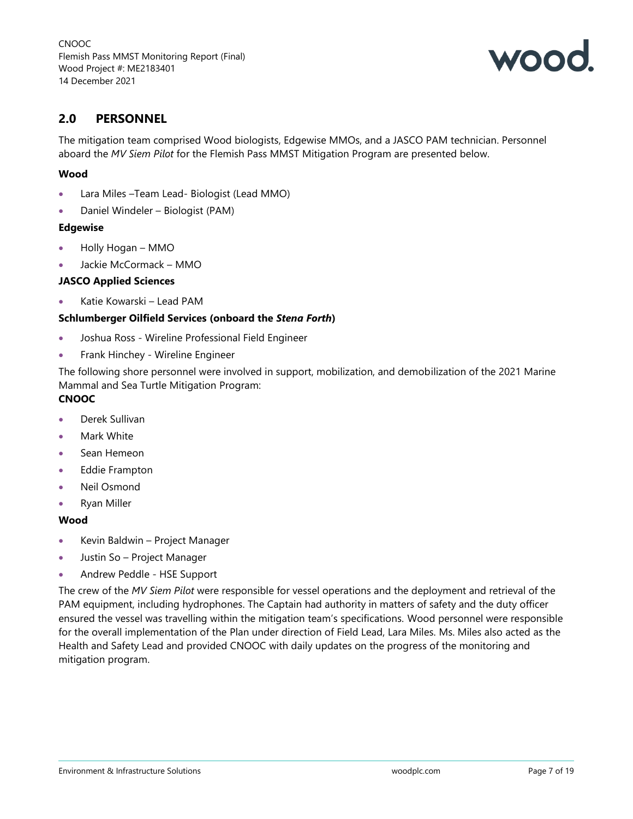

## **2.0 PERSONNEL**

The mitigation team comprised Wood biologists, Edgewise MMOs, and a JASCO PAM technician. Personnel aboard the *MV Siem Pilot* for the Flemish Pass MMST Mitigation Program are presented below.

#### **Wood**

- Lara Miles –Team Lead- Biologist (Lead MMO)
- Daniel Windeler Biologist (PAM)

#### **Edgewise**

- Holly Hogan MMO
- Jackie McCormack MMO

#### **JASCO Applied Sciences**

• Katie Kowarski – Lead PAM

#### **Schlumberger Oilfield Services (onboard the** *Stena Forth***)**

- Joshua Ross Wireline Professional Field Engineer
- Frank Hinchey Wireline Engineer

The following shore personnel were involved in support, mobilization, and demobilization of the 2021 Marine Mammal and Sea Turtle Mitigation Program:

## **CNOOC**

- Derek Sullivan
- Mark White
- Sean Hemeon
- Eddie Frampton
- Neil Osmond
- Ryan Miller

#### **Wood**

- Kevin Baldwin Project Manager
- Justin So Project Manager
- Andrew Peddle HSE Support

The crew of the *MV Siem Pilot* were responsible for vessel operations and the deployment and retrieval of the PAM equipment, including hydrophones. The Captain had authority in matters of safety and the duty officer ensured the vessel was travelling within the mitigation team's specifications. Wood personnel were responsible for the overall implementation of the Plan under direction of Field Lead, Lara Miles. Ms. Miles also acted as the Health and Safety Lead and provided CNOOC with daily updates on the progress of the monitoring and mitigation program.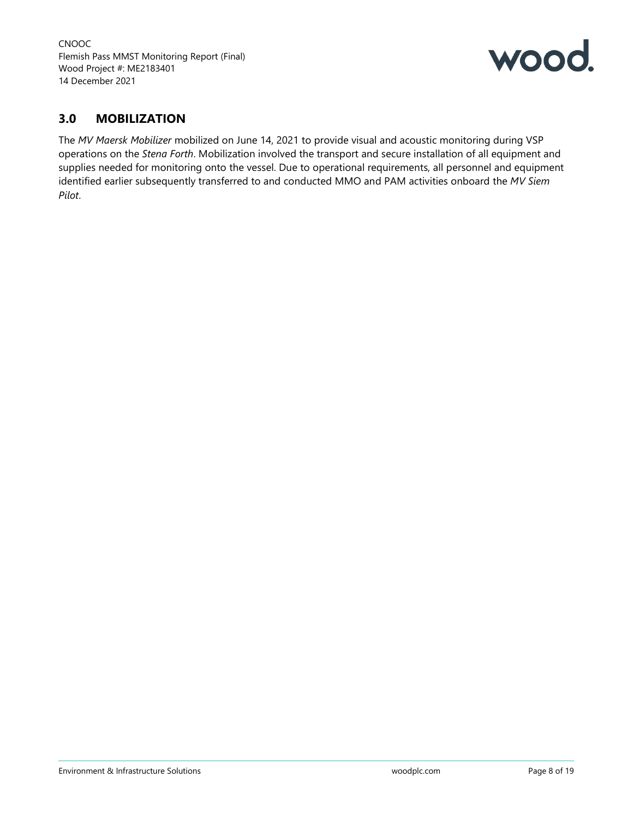

## **3.0 MOBILIZATION**

The *MV Maersk Mobilizer* mobilized on June 14, 2021 to provide visual and acoustic monitoring during VSP operations on the *Stena Forth*. Mobilization involved the transport and secure installation of all equipment and supplies needed for monitoring onto the vessel. Due to operational requirements, all personnel and equipment identified earlier subsequently transferred to and conducted MMO and PAM activities onboard the *MV Siem Pilot*.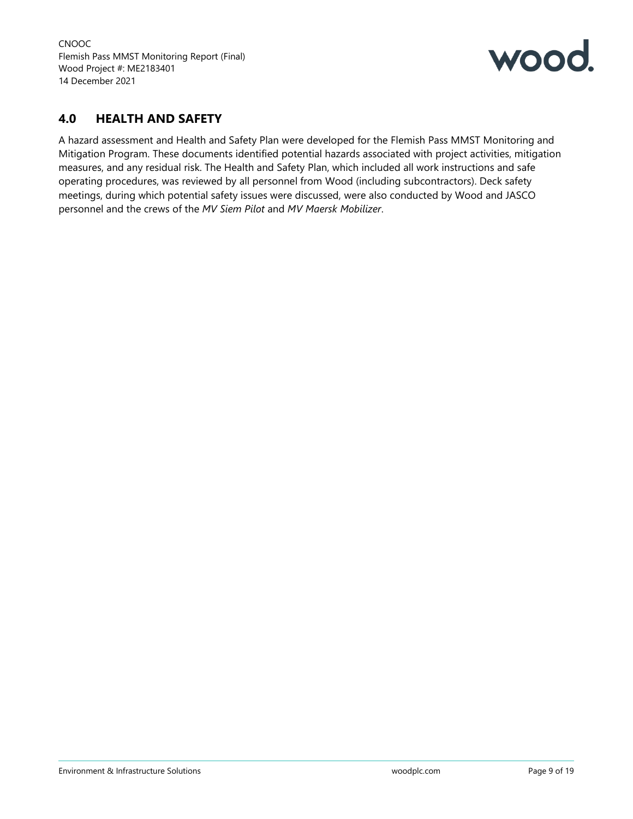

## **4.0 HEALTH AND SAFETY**

A hazard assessment and Health and Safety Plan were developed for the Flemish Pass MMST Monitoring and Mitigation Program. These documents identified potential hazards associated with project activities, mitigation measures, and any residual risk. The Health and Safety Plan, which included all work instructions and safe operating procedures, was reviewed by all personnel from Wood (including subcontractors). Deck safety meetings, during which potential safety issues were discussed, were also conducted by Wood and JASCO personnel and the crews of the *MV Siem Pilot* and *MV Maersk Mobilizer*.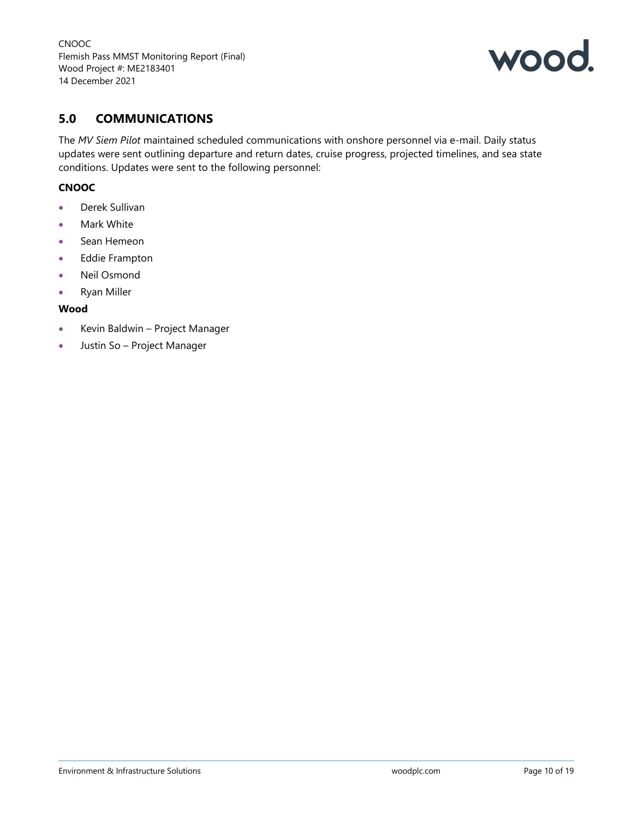

## **5.0 COMMUNICATIONS**

The *MV Siem Pilot* maintained scheduled communications with onshore personnel via e-mail. Daily status updates were sent outlining departure and return dates, cruise progress, projected timelines, and sea state conditions. Updates were sent to the following personnel:

#### **CNOOC**

- Derek Sullivan
- Mark White
- Sean Hemeon
- Eddie Frampton
- Neil Osmond
- Ryan Miller

#### **Wood**

- Kevin Baldwin Project Manager
- Justin So Project Manager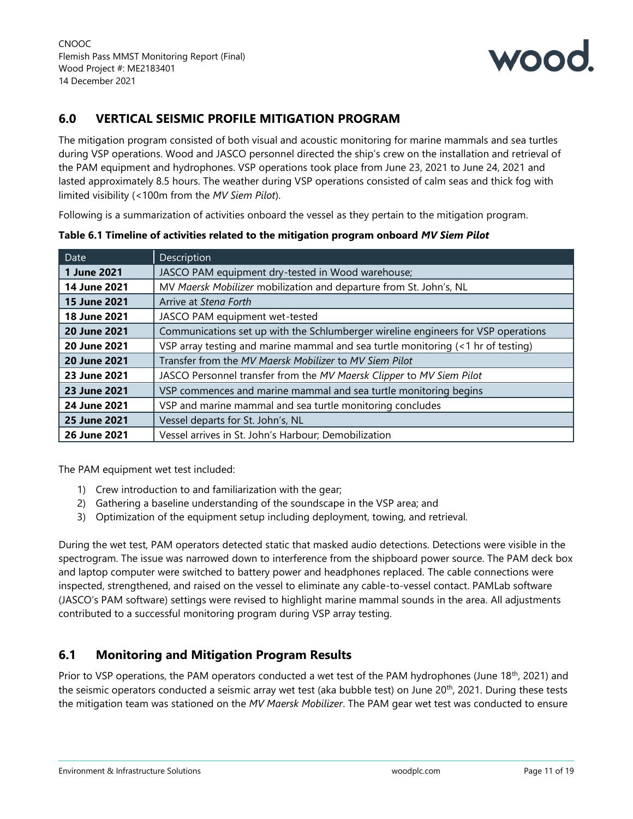

## **6.0 VERTICAL SEISMIC PROFILE MITIGATION PROGRAM**

The mitigation program consisted of both visual and acoustic monitoring for marine mammals and sea turtles during VSP operations. Wood and JASCO personnel directed the ship's crew on the installation and retrieval of the PAM equipment and hydrophones. VSP operations took place from June 23, 2021 to June 24, 2021 and lasted approximately 8.5 hours. The weather during VSP operations consisted of calm seas and thick fog with limited visibility (<100m from the *MV Siem Pilot*).

Following is a summarization of activities onboard the vessel as they pertain to the mitigation program.

| Date                | Description                                                                       |
|---------------------|-----------------------------------------------------------------------------------|
| 1 June 2021         | JASCO PAM equipment dry-tested in Wood warehouse;                                 |
| 14 June 2021        | MV Maersk Mobilizer mobilization and departure from St. John's, NL                |
| <b>15 June 2021</b> | Arrive at Stena Forth                                                             |
| 18 June 2021        | JASCO PAM equipment wet-tested                                                    |
| 20 June 2021        | Communications set up with the Schlumberger wireline engineers for VSP operations |
| 20 June 2021        | VSP array testing and marine mammal and sea turtle monitoring (<1 hr of testing)  |
| 20 June 2021        | Transfer from the MV Maersk Mobilizer to MV Siem Pilot                            |
| 23 June 2021        | JASCO Personnel transfer from the MV Maersk Clipper to MV Siem Pilot              |
| 23 June 2021        | VSP commences and marine mammal and sea turtle monitoring begins                  |
| 24 June 2021        | VSP and marine mammal and sea turtle monitoring concludes                         |
| 25 June 2021        | Vessel departs for St. John's, NL                                                 |
| 26 June 2021        | Vessel arrives in St. John's Harbour; Demobilization                              |

**Table 6.1 Timeline of activities related to the mitigation program onboard** *MV Siem Pilot*

The PAM equipment wet test included:

- 1) Crew introduction to and familiarization with the gear;
- 2) Gathering a baseline understanding of the soundscape in the VSP area; and
- 3) Optimization of the equipment setup including deployment, towing, and retrieval.

During the wet test, PAM operators detected static that masked audio detections. Detections were visible in the spectrogram. The issue was narrowed down to interference from the shipboard power source. The PAM deck box and laptop computer were switched to battery power and headphones replaced. The cable connections were inspected, strengthened, and raised on the vessel to eliminate any cable-to-vessel contact. PAMLab software (JASCO's PAM software) settings were revised to highlight marine mammal sounds in the area. All adjustments contributed to a successful monitoring program during VSP array testing.

## **6.1 Monitoring and Mitigation Program Results**

Prior to VSP operations, the PAM operators conducted a wet test of the PAM hydrophones (June 18<sup>th</sup>, 2021) and the seismic operators conducted a seismic array wet test (aka bubble test) on June 20<sup>th</sup>, 2021. During these tests the mitigation team was stationed on the *MV Maersk Mobilizer*. The PAM gear wet test was conducted to ensure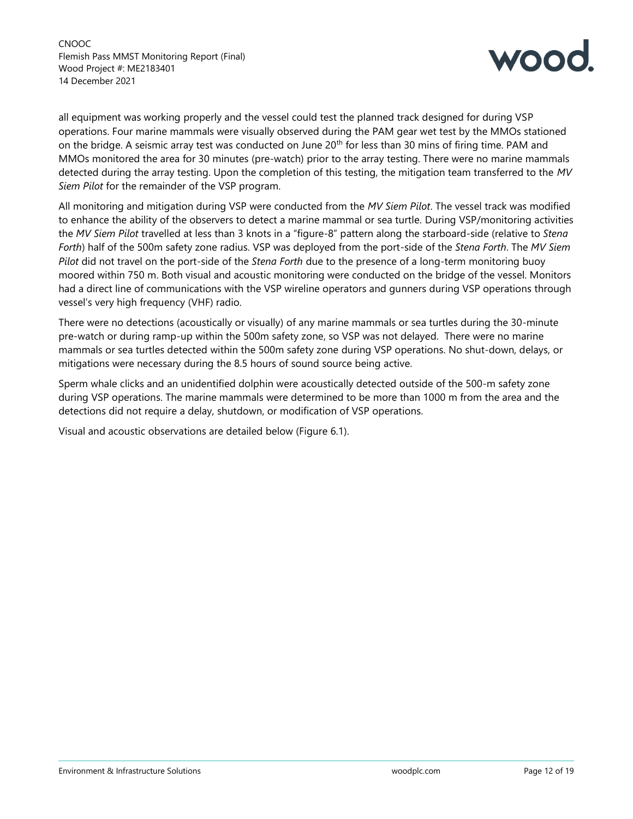

all equipment was working properly and the vessel could test the planned track designed for during VSP operations. Four marine mammals were visually observed during the PAM gear wet test by the MMOs stationed on the bridge. A seismic array test was conducted on June 20<sup>th</sup> for less than 30 mins of firing time. PAM and MMOs monitored the area for 30 minutes (pre-watch) prior to the array testing. There were no marine mammals detected during the array testing. Upon the completion of this testing, the mitigation team transferred to the *MV Siem Pilot* for the remainder of the VSP program.

All monitoring and mitigation during VSP were conducted from the *MV Siem Pilot*. The vessel track was modified to enhance the ability of the observers to detect a marine mammal or sea turtle. During VSP/monitoring activities the *MV Siem Pilot* travelled at less than 3 knots in a "figure-8" pattern along the starboard-side (relative to *Stena Forth*) half of the 500m safety zone radius. VSP was deployed from the port-side of the *Stena Forth*. The *MV Siem Pilot* did not travel on the port-side of the *Stena Forth* due to the presence of a long-term monitoring buoy moored within 750 m. Both visual and acoustic monitoring were conducted on the bridge of the vessel. Monitors had a direct line of communications with the VSP wireline operators and gunners during VSP operations through vessel's very high frequency (VHF) radio.

There were no detections (acoustically or visually) of any marine mammals or sea turtles during the 30-minute pre-watch or during ramp-up within the 500m safety zone, so VSP was not delayed. There were no marine mammals or sea turtles detected within the 500m safety zone during VSP operations. No shut-down, delays, or mitigations were necessary during the 8.5 hours of sound source being active.

Sperm whale clicks and an unidentified dolphin were acoustically detected outside of the 500-m safety zone during VSP operations. The marine mammals were determined to be more than 1000 m from the area and the detections did not require a delay, shutdown, or modification of VSP operations.

Visual and acoustic observations are detailed below (Figure 6.1).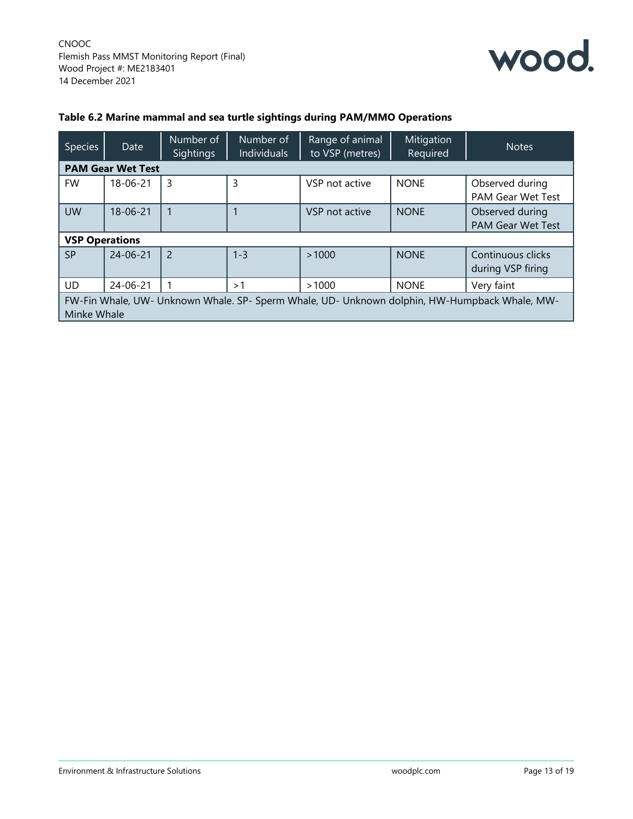

#### **Table 6.2 Marine mammal and sea turtle sightings during PAM/MMO Operations**

| <b>Species</b>        | Date                     | Number of<br><b>Sightings</b> | Number of<br>Individuals | Range of animal<br>to VSP (metres) | Mitigation<br>Required | <b>Notes</b>                                                                                  |
|-----------------------|--------------------------|-------------------------------|--------------------------|------------------------------------|------------------------|-----------------------------------------------------------------------------------------------|
|                       | <b>PAM Gear Wet Test</b> |                               |                          |                                    |                        |                                                                                               |
| <b>FW</b>             | 18-06-21                 | 3                             | 3                        | VSP not active                     | <b>NONE</b>            | Observed during<br>PAM Gear Wet Test                                                          |
| <b>UW</b>             | $18 - 06 - 21$           |                               |                          | VSP not active                     | <b>NONE</b>            | Observed during<br><b>PAM Gear Wet Test</b>                                                   |
| <b>VSP Operations</b> |                          |                               |                          |                                    |                        |                                                                                               |
| <b>SP</b>             | $24 - 06 - 21$           | 2                             | $1 - 3$                  | >1000                              | <b>NONE</b>            | Continuous clicks<br>during VSP firing                                                        |
| <b>UD</b>             | 24-06-21                 |                               | >1                       | >1000                              | <b>NONE</b>            | Very faint                                                                                    |
| Minke Whale           |                          |                               |                          |                                    |                        | FW-Fin Whale, UW- Unknown Whale. SP- Sperm Whale, UD- Unknown dolphin, HW-Humpback Whale, MW- |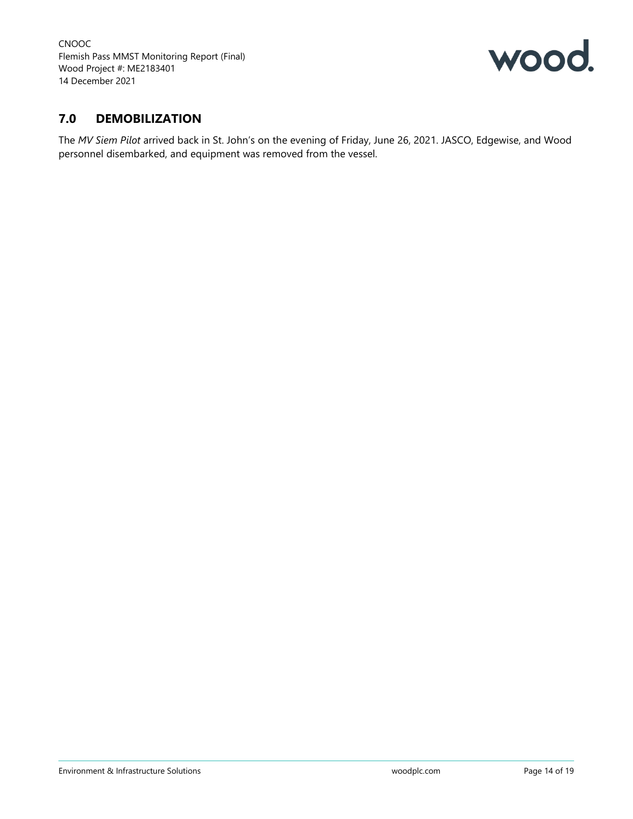

## **7.0 DEMOBILIZATION**

The *MV Siem Pilot* arrived back in St. John's on the evening of Friday, June 26, 2021. JASCO, Edgewise, and Wood personnel disembarked, and equipment was removed from the vessel.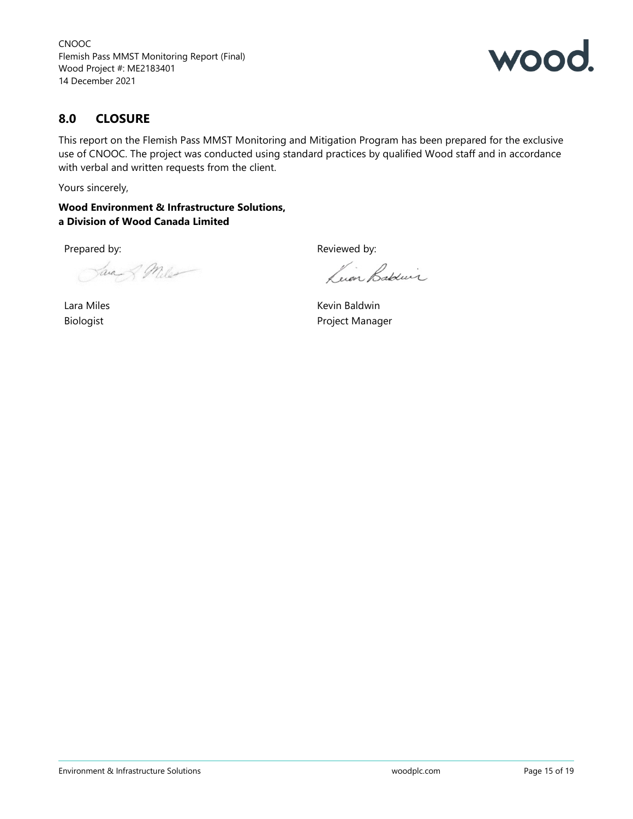

## **8.0 CLOSURE**

This report on the Flemish Pass MMST Monitoring and Mitigation Program has been prepared for the exclusive use of CNOOC. The project was conducted using standard practices by qualified Wood staff and in accordance with verbal and written requests from the client.

Yours sincerely,

**Wood Environment & Infrastructure Solutions, a Division of Wood Canada Limited**

Java & Miles

Lara Miles Biologist

Prepared by: The parel of the control of the Reviewed by:

Luin Babeur

Kevin Baldwin Project Manager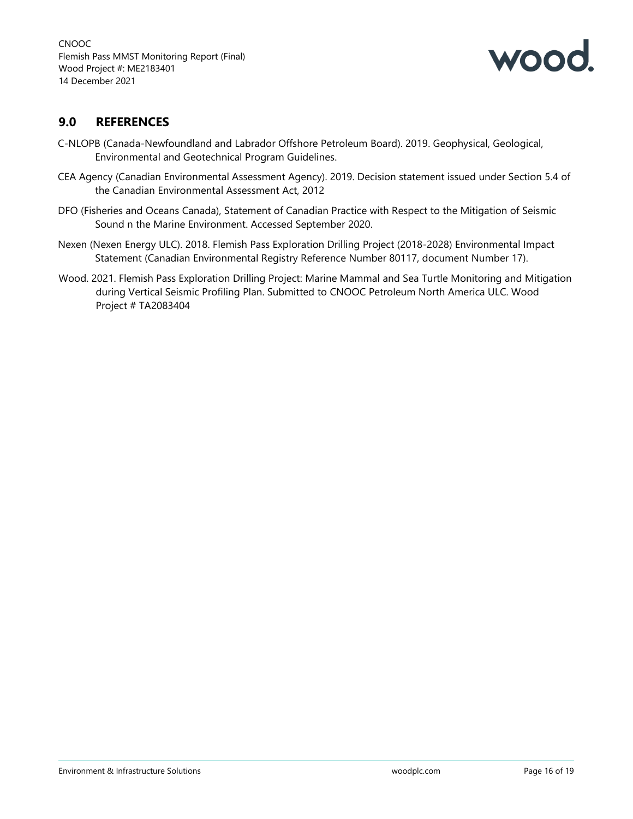

## **9.0 REFERENCES**

- C-NLOPB (Canada-Newfoundland and Labrador Offshore Petroleum Board). 2019. Geophysical, Geological, Environmental and Geotechnical Program Guidelines.
- CEA Agency (Canadian Environmental Assessment Agency). 2019. Decision statement issued under Section 5.4 of the Canadian Environmental Assessment Act, 2012
- DFO (Fisheries and Oceans Canada), Statement of Canadian Practice with Respect to the Mitigation of Seismic Sound n the Marine Environment. Accessed September 2020.
- Nexen (Nexen Energy ULC). 2018. Flemish Pass Exploration Drilling Project (2018-2028) Environmental Impact Statement (Canadian Environmental Registry Reference Number 80117, document Number 17).
- Wood. 2021. Flemish Pass Exploration Drilling Project: Marine Mammal and Sea Turtle Monitoring and Mitigation during Vertical Seismic Profiling Plan. Submitted to CNOOC Petroleum North America ULC. Wood Project # TA2083404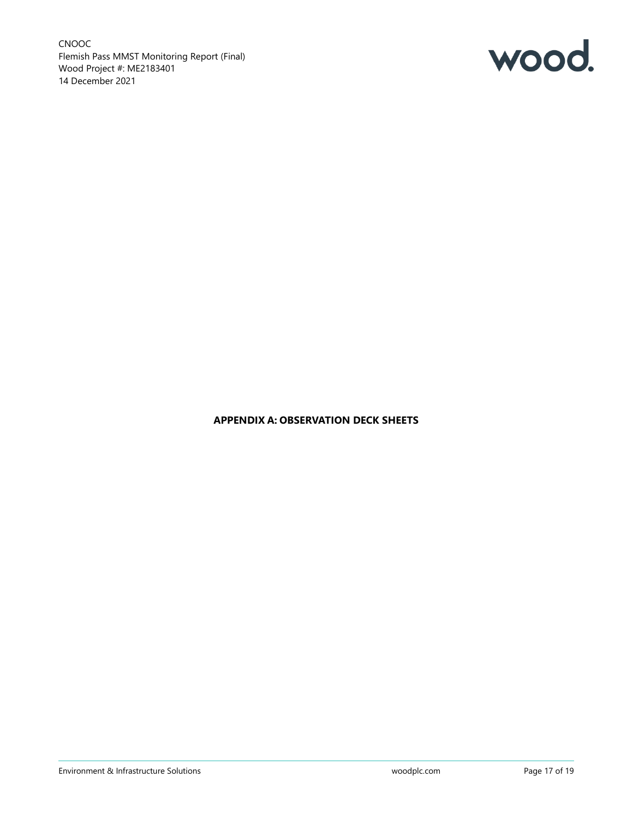

#### **APPENDIX A: OBSERVATION DECK SHEETS**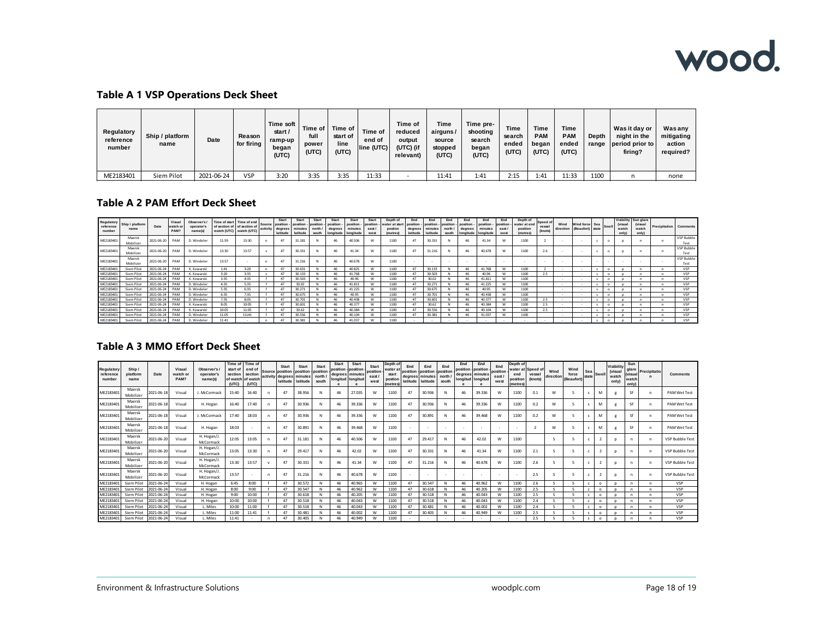## wood.

#### **Table A 1 VSP Operations Deck Sheet**

| Regulatory<br>reference<br>number | Ship / platform<br>name | Date       | Reason<br>for firing | Time soft<br>start /<br>ramp-up<br>began<br>(UTC) | Time of  <br>full<br>power<br>(UTC) | Time of<br>start of<br>line<br>(UTC) | Time of<br>end of<br>line (UTC) | Time of<br>reduced<br>output<br>(UTC) (if<br>relevant) | Time<br>airguns/<br>source<br>stopped<br>(UTC) | Time pre-<br>shooting<br>search<br>began<br>(UTC) | Time<br>search<br>ended<br>(UTC) | Time<br><b>PAM</b><br>began<br>(UTC) | <b>Time</b><br>PAM<br>ended<br>(UTC) | Depth<br>range | Was it day or<br>night in the<br>period prior to<br>firing? | Wasany<br>mitigating<br>action<br>required? |
|-----------------------------------|-------------------------|------------|----------------------|---------------------------------------------------|-------------------------------------|--------------------------------------|---------------------------------|--------------------------------------------------------|------------------------------------------------|---------------------------------------------------|----------------------------------|--------------------------------------|--------------------------------------|----------------|-------------------------------------------------------------|---------------------------------------------|
| ME2183401                         | Siem Pilot              | 2021-06-24 | VSP                  | 3:20                                              | 3:35                                | 3:35                                 | 11:33                           |                                                        | 11:41                                          | 1:41                                              | 2:15                             | 1:41                                 | 11:33                                | 1100           |                                                             | none                                        |

#### **Table A 2 PAM Effort Deck Sheet**

| Regulatory<br>reference<br>number | Ship / platform<br>name | Date       | Visual<br>watch<br>PAM | Observer's<br>operator'<br>name(s) | Time of start | Time of end<br>of section of of section of<br>watch (UTC) watch (UTC) | Start<br>Source position<br>activity degrees<br>latitude | Start<br>position<br>minutes<br>latitude | Start<br>position -<br>north<br>south | Start<br>position<br>degrees<br>longitude longitude | Start<br>position<br>minutes | Start<br>position<br>east<br>west | Depth of<br>water at start<br>postion<br><i>(metres)</i> | End<br>position<br>degrees<br>latitude | End<br>position<br>minutes<br>latitude | End<br>nosition -<br>north.<br>south | End<br>position -<br>degrees<br>longitude   longitude | End<br>position -<br>minutes | End<br>position -<br>east<br>west | Depth of<br>water at end<br>position<br>(metres) | Speed<br>vesse<br>(knots) | Wind<br>direction | Wind force Sea Swell<br>(Beaufort) state |          | (visual<br>watch<br>only | Visibility Sun glare<br>(visual<br>watch<br>only) | <b>Precipitation</b> Comments |                    |
|-----------------------------------|-------------------------|------------|------------------------|------------------------------------|---------------|-----------------------------------------------------------------------|----------------------------------------------------------|------------------------------------------|---------------------------------------|-----------------------------------------------------|------------------------------|-----------------------------------|----------------------------------------------------------|----------------------------------------|----------------------------------------|--------------------------------------|-------------------------------------------------------|------------------------------|-----------------------------------|--------------------------------------------------|---------------------------|-------------------|------------------------------------------|----------|--------------------------|---------------------------------------------------|-------------------------------|--------------------|
| ME2183401                         | Maersk<br>Mobilizer     | 2021-06-20 | PAM                    | D. Windeler                        | 11:59         | 13:30                                                                 |                                                          | 31.181                                   |                                       |                                                     | 40.506                       | W                                 | 1100                                                     |                                        | 30.333                                 |                                      | 46                                                    | 41.34                        |                                   | 1100                                             |                           |                   |                                          |          |                          |                                                   |                               | VSP Bubble<br>Test |
| ME2183401                         | Maersk<br>Mobilizer     | 2021-06-20 | PAM                    | D. Windeler                        | 13:30         | 13:57                                                                 | 47                                                       | 30.331                                   |                                       |                                                     | 41.34                        | W                                 | 1100                                                     |                                        | 31.216                                 |                                      | 46                                                    | 40.678                       |                                   | 1100                                             | 2.6                       |                   |                                          |          |                          |                                                   |                               | VSP Bubble<br>Test |
| ME2183401                         | Maersk<br>Mobilizer     | 2021-06-20 | PAM                    | D. Windeler                        | 13:57         |                                                                       |                                                          | 31.216                                   |                                       |                                                     | 40.678                       | W                                 | 1100                                                     |                                        |                                        |                                      |                                                       |                              |                                   |                                                  |                           |                   |                                          |          |                          |                                                   |                               | VSP Bubble<br>Test |
| ME2183401                         | Siem Pilot              | 2021-06-24 | PAM                    | K. Kowarski                        | 1:41          | 3:20                                                                  |                                                          | 30.631                                   |                                       | 46                                                  | 40.825                       | W                                 | 1100                                                     |                                        | 30.13                                  |                                      | 46                                                    | 41,768                       |                                   | 1100                                             |                           | . .               | . .                                      |          |                          |                                                   |                               | VSP                |
| ME2183401                         | Siem Pilot              | 2021-06-24 | PAM                    | K. Kowarski                        | 3:20          | 3:35                                                                  |                                                          | 30.133                                   |                                       | 46                                                  | 41.768                       | W                                 | 1100                                                     | -47                                    | 30.503                                 |                                      | 46                                                    | 40.96                        |                                   | 1100                                             |                           |                   | . .                                      | $\Omega$ |                          |                                                   |                               | VSP                |
| ME218340                          | Siem Pilot              | 2021-06-24 | PAM                    | K. Kowarski                        | 3:35          | 4:35                                                                  |                                                          | 30.503                                   |                                       |                                                     | 40.96                        | W                                 | 1100                                                     | 47                                     | 30.02                                  |                                      | 46                                                    | 41.811                       |                                   | 1100                                             |                           |                   |                                          |          |                          |                                                   |                               | VSP                |
| ME2183401                         | Siem Pilot              | 2021-06-24 | PAM                    | D. Windeler                        | 4:35          | 5:35                                                                  |                                                          | 30.02                                    |                                       |                                                     | 41.811                       | W                                 | 1100                                                     | 47                                     | 30.273                                 |                                      |                                                       | 41.225                       |                                   | 1100                                             |                           |                   |                                          |          |                          |                                                   |                               | VSP                |
| ME2183401                         | Siem Pilot              | 2021-06-24 | PAM                    | D. Windeler                        | 5:35          | 6:35                                                                  |                                                          | 30.271                                   |                                       |                                                     | 41.225                       | W                                 | 1100                                                     | 47                                     | 30.67                                  |                                      | 46                                                    | 40.95                        | 1.8.4                             | 1100                                             |                           |                   | . .                                      |          |                          |                                                   |                               | VSP                |
| ME2183401                         | Siem Pilot              | 2021-06-24 | PAM                    | D. Windeler                        | 6:35          | 7:35                                                                  |                                                          | 30.675                                   |                                       | 46                                                  | 40.95                        | W                                 | 1100                                                     |                                        | 30.70                                  |                                      | 46                                                    | 40.438                       |                                   | 1100                                             |                           |                   |                                          | $\Omega$ |                          |                                                   |                               | VSP                |
| ME2183401                         | Siem Pilot              | 2021-06-24 | PAM                    | D. Windeler                        | 7:35          | 8:05                                                                  |                                                          | 30.701                                   |                                       | 46                                                  | 40,438                       | W                                 | 1100                                                     |                                        | 30.601                                 |                                      | 46                                                    | 40.377                       |                                   | 1100                                             | 2.5                       |                   | . .                                      |          |                          |                                                   |                               | VSP                |
| ME218340                          | Siem Pilot              | 2021-06-24 | PAM                    | K. Kowarski                        | 8:05          | 10:05                                                                 |                                                          | 30.601                                   |                                       |                                                     | 40,377                       | W                                 | 1100                                                     | 47                                     | 30.62                                  |                                      |                                                       | 40.384                       |                                   | 1100                                             | 2.5                       |                   |                                          |          |                          |                                                   |                               | <b>VSP</b>         |
| ME2183401                         | Siem Pilot              | 2021-06-24 | PAM                    | K. Kowarsk                         | 10:05         | 11:05                                                                 |                                                          | 30.62                                    |                                       |                                                     | 40.384                       | W                                 | 1100                                                     | 47                                     | 30.556                                 |                                      | 46                                                    | 40.104                       |                                   | 1100                                             | 2.5                       |                   |                                          |          |                          |                                                   |                               | VSP                |
| ME2183401                         | Siem Pilot              | 2021-06-24 | PAM                    | D. Windeler                        | 11:05         | 11141                                                                 |                                                          | 30.556                                   |                                       | 46                                                  | 40.104                       | W                                 | 1100                                                     |                                        | 30.383                                 |                                      | 46                                                    | 41.037                       |                                   | 1100                                             |                           |                   |                                          | $\Omega$ |                          |                                                   |                               | VSP                |
| ME2183401                         | Siem Pilot              | 2021-06-24 | PAM                    | D. Windeler                        | 11:41         |                                                                       |                                                          | 30.381                                   |                                       | 46                                                  | 41.037                       | W                                 | 1100                                                     |                                        |                                        |                                      |                                                       |                              |                                   |                                                  |                           |                   |                                          | $\circ$  |                          |                                                   |                               | VSP                |

#### **Table A 3 MMO Effort Deck Sheet**

| Regulatory<br>reference<br>number | Ship.<br>platform<br>name | Date                     | Visual<br>watch or<br>PAM? | Observer's<br>operator's<br>name(s) | Time of Time of<br>start of<br>section<br>of watch of watch<br>(UTC) | end of<br>section<br>(UTC) | Source       | <b>Start</b><br>position - position - position<br>activity degrees<br>latitude | <b>Start</b><br>minutes<br>latitude | <b>Start</b><br>north<br>south | <b>Start</b><br>position<br>degrees minutes<br><b>Ionaitud Ionaitud</b> | Start<br>position | Start<br>position<br>east/<br>west | Depth of<br>water a<br>start<br>postion<br>(metre: | End<br>position position<br>latitude | End<br>degrees minutes<br>latitude | End<br>position<br>north<br>south | End<br>position - position | End<br>degrees minutes<br>longitud longitud | End<br>position<br>east.<br>west | Depth of<br>water at<br>end<br>position<br><i>(metres)</i> | Speed of<br>vessel<br>(knots) | Wind<br>direction | Wind<br>force<br>(Beaufort) | Sea<br>state | * ISwel | Visibility<br>(visual<br>watch<br>only) | Sun<br>glare<br>(visual<br>watch<br>only) | Precipitatio | Comments                 |
|-----------------------------------|---------------------------|--------------------------|----------------------------|-------------------------------------|----------------------------------------------------------------------|----------------------------|--------------|--------------------------------------------------------------------------------|-------------------------------------|--------------------------------|-------------------------------------------------------------------------|-------------------|------------------------------------|----------------------------------------------------|--------------------------------------|------------------------------------|-----------------------------------|----------------------------|---------------------------------------------|----------------------------------|------------------------------------------------------------|-------------------------------|-------------------|-----------------------------|--------------|---------|-----------------------------------------|-------------------------------------------|--------------|--------------------------|
| ME2183401                         | Maersk<br>Mobilizer       | 2021-06-18               | Visual                     | J. McCormack                        | 15:40                                                                | 16:40                      | $\mathbf{r}$ | 47                                                                             | 38.956                              |                                | 46                                                                      | 27.035            | W                                  | 1100                                               | 47                                   | 30.936                             | N                                 | 46                         | 39.336                                      | W                                | 1100                                                       | 0.1                           | W                 |                             |              | M       |                                         | SF                                        |              | <b>PAM Wet Test</b>      |
| ME2183401                         | Maersk<br>Mobilizer       | 2021-06-18               | Visual                     | H. Hogan                            | 16:40                                                                | 17:40                      | n            | 47                                                                             | 30.936                              |                                | 46                                                                      | 39,336            | W                                  | 1100                                               | 47                                   | 30.936                             | N                                 | 46                         | 39.336                                      | w                                | 1100                                                       | 0.2                           | w                 |                             | $\sim$       | M       |                                         | SF                                        | n            | <b>PAM Wet Test</b>      |
| ME2183401                         | Maersk<br>Mobilizer       | 2021-06-18               | Visual                     | J. McCormack                        | 17:40                                                                | 18:03                      | n            | 47                                                                             | 30.936                              |                                | 46                                                                      | 39,336            | W                                  | 1100                                               | 47                                   | 30.891                             | N                                 | 46                         | 39.468                                      | W                                | 1100                                                       | 0.2                           | W                 |                             | s            | M       |                                         | Sf                                        |              | <b>PAM Wet Test</b>      |
| ME2183401                         | Maersk<br>Mobilizer       | 2021-06-18               | Visual                     | H. Hogan                            | 18:03                                                                |                            | $\mathbf{r}$ | 47                                                                             | 30.891                              |                                | 46                                                                      | 39,468            | W                                  | 1100                                               |                                      |                                    |                                   |                            |                                             |                                  |                                                            |                               | W                 |                             |              | M       |                                         | SF                                        |              | <b>PAM Wet Test</b>      |
| ME2183401                         | Maersk<br>Mobilizer       | 2021-06-20               | Visual                     | H. Hogan/J.<br>McCormack            | 12:05                                                                | 13:05                      | n            | 47                                                                             | 31.181                              |                                | 46                                                                      | 40,506            | W                                  | 1100                                               | 47                                   | 29.417                             | N                                 | 46                         | 42.02                                       | w                                | 1100                                                       |                               |                   |                             | c            |         |                                         | n                                         | n            | <b>VSP Bubble Test</b>   |
| ME2183401                         | Maersk<br>Mobilizer       | 2021-06-20               | Visual                     | H. Hogan/J.<br>McCormack            | 13:05                                                                | 13:30                      | n            | 47                                                                             | 29.417                              |                                | 46                                                                      | 42.02             | W                                  | 1100                                               | 47                                   | 30.331                             | N                                 | 46                         | 41.34                                       | W                                | 1100                                                       | 2.1                           |                   |                             |              |         |                                         |                                           |              | <b>VSP Bubble Test</b>   |
| ME2183401                         | Maersk<br>Mobilizer       | 2021-06-20               | Visual                     | H. Hogan/J.<br>McCormack            | 13:30                                                                | 13:57                      | $\mathbf v$  | 47                                                                             | 30.331                              | N                              | 46                                                                      | 41.34             | W                                  | 1100                                               | 47                                   | 31.216                             | N                                 | 46                         | 40.678                                      | w                                | 1100                                                       | 2.6                           |                   |                             | c            |         |                                         |                                           |              | <b>VSP Bubble Test</b>   |
| ME2183401                         | Maersk<br>Mobilizer       | 2021-06-20               | Visual                     | H. Hogan/J.<br>McCormack            | 13:57                                                                |                            | n            | 47                                                                             | 31.216                              | N                              | 46                                                                      | 40.678            | W                                  | 1100                                               |                                      |                                    |                                   |                            |                                             |                                  |                                                            | 2.5                           |                   |                             |              |         |                                         |                                           |              | <b>VSP Bubble Test</b>   |
| ME2183401                         | Siem Pilot                | 2021-06-24               | Visual                     | H. Hogan                            | 6:45                                                                 | 8:00                       |              | 47                                                                             | 30.572                              |                                | 46                                                                      | 40.965            | W                                  | 1100                                               |                                      | 30.547                             | N                                 | 46                         | 40.962                                      | w                                | 1100                                                       | 2.6                           |                   |                             |              | o       |                                         |                                           |              | <b>VSP</b>               |
| ME2183401                         | Siem Pilot                | 2021-06-24               | Visual                     | H. Hogan                            | 8:00                                                                 | 9:00                       |              | 47                                                                             | 30.547                              |                                | 46                                                                      | 40.962            | W                                  | 1100                                               | 47                                   | 30.618                             | N                                 | 46                         | 40.205                                      | w                                | 1100                                                       | 2.5                           |                   |                             |              |         |                                         |                                           |              | <b>VSP</b>               |
| ME2183401<br>ME2183401            | Siem Pilot<br>Siem Pilot  | 2021-06-24<br>2021-06-24 | Visual<br>Visual           | H. Hogan                            | 9:00<br>10:00                                                        | 10:00<br>10:00             |              | 47<br>47                                                                       | 30.618<br>30.518                    |                                | 46<br>46                                                                | 40.205<br>40.043  | W<br>W                             | 1100<br>1100                                       | 47                                   | 30.518<br>30.518                   | N                                 | 46<br>46                   | 40.043<br>40.043                            | w<br>w                           | 1100<br>1100                                               | 2.5<br>2.4                    |                   |                             |              | O       |                                         |                                           |              | <b>VSP</b><br><b>VSP</b> |
| ME2183401                         | Siem Pilot                | 2021-06-24               | Visual                     | H. Hogan<br>L. Miles                | 10:00                                                                | 11:00                      |              | 47                                                                             | 30.518                              |                                | 46                                                                      | 40.043            | W                                  | 1100                                               |                                      | 30.481                             | N                                 | 46                         | 40.002                                      | w                                | 1100                                                       | 2.4                           |                   |                             |              | o       |                                         |                                           |              | <b>VSP</b>               |
| ME2183401                         | Siem Pilot                | 2021-06-24               | Visual                     | L. Miles                            | 11:00                                                                | 11:41                      |              | 47                                                                             | 30.481                              |                                | 46                                                                      | 40.002            | W                                  | 1100                                               |                                      | 30.405                             |                                   | 46                         | 40,949                                      | w                                | 1100                                                       | 2.5                           |                   |                             |              |         |                                         |                                           |              | VSP                      |
| ME2183401                         | Siem Pilot                | 2021-06-24               | Visual                     | L. Miles                            | 11:41                                                                |                            |              | 47                                                                             | 30.405                              |                                | 46                                                                      | 40.949            | W                                  | 1100                                               |                                      |                                    |                                   |                            |                                             |                                  |                                                            | 2.5                           |                   |                             |              |         |                                         |                                           |              | <b>VSP</b>               |